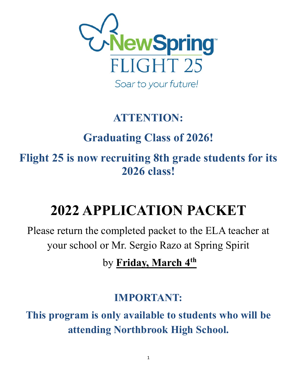

## **ATTENTION:**

# **Graduating Class of 2026!**

**Flight 25 is now recruiting 8th grade students for its 2026 class!**

# **2022 APPLICATION PACKET**

Please return the completed packet to the ELA teacher at your school or Mr. Sergio Razo at Spring Spirit

by **Friday, March 4th**

### **IMPORTANT:**

**This program is only available to students who will be attending Northbrook High School.**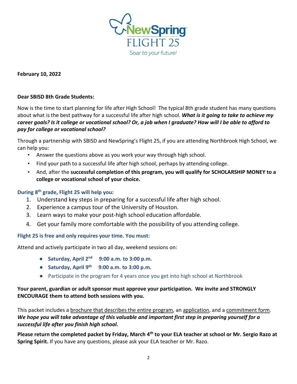

**February 10, 2022**

### **Dear SBISD 8th Grade Students:**

Now is the time to start planning for life after High School! The typical 8th grade student has many questions about what is the best pathway for a successful life after high school. *What is it going to take to achieve my career goals? Is it college or vocational school? Or, a job when I graduate? How will I be able to afford to pay for college or vocational school?*

Through a partnership with SBISD and NewSpring's Flight 25, if you are attending Northbrook High School, we can help you:

- Answer the questions above as you work your way through high school.
- Find your path to a successful life after high school, perhaps by attending college.
- And, after the **successful completion of this program, you will qualify for SCHOLARSHIP MONEY to a college or vocational school of your choice.**

### **During 8th grade, Flight 25 will help you:**

- 1. Understand key steps in preparing for a successful life after high school.
- 2. Experience a campus tour of the University of Houston.
- 3. Learn ways to make your post-high school education affordable.
- 4. Get your family more comfortable with the possibility of you attending college.

### **Flight 25 is free and only requires your time. You must:**

Attend and actively participate in two all day, weekend sessions on:

- **Saturday, April 2nd 9:00 a.m. to 3:00 p.m.**
- **Saturday, April 9th 9:00 a.m. to 3:00 p.m.**
- Participate in the program for 4 years once you get into high school at Northbrook

### **Your parent, guardian or adult sponsor must approve your participation. We invite and STRONGLY ENCOURAGE them to attend both sessions with you.**

This packet includes a brochure that describes the entire program, an application, and a commitment form. *We hope you will take advantage of this valuable and important first step in preparing yourself for a successful life after you finish high school.*

**Please return the completed packet by Friday, March 4th to your ELA teacher at school or Mr. Sergio Razo at Spring Spirit.** If you have any questions, please ask your ELA teacher or Mr. Razo.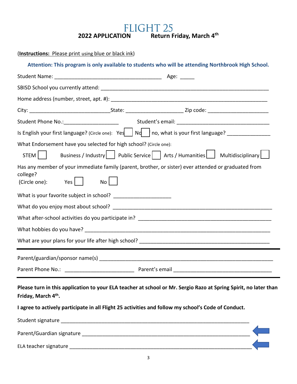**2022 APPLICATION Return Friday, March 4<sup>th</sup>** 

| (Instructions: Please print using blue or black ink) |  |  |
|------------------------------------------------------|--|--|
|                                                      |  |  |

|                                 | Student Phone No.: 11 Marshall Marshall Student's email: 2008. [2013] Marshall Marshall Marshall Marshall Mars           |  |
|---------------------------------|--------------------------------------------------------------------------------------------------------------------------|--|
|                                 |                                                                                                                          |  |
|                                 | What Endorsement have you selected for high school? (Circle one):                                                        |  |
| STEM                            | Business / Industry   Public Service     Arts / Humanities     Multidisciplinary                                         |  |
| college?<br>$(Circle one):$ Yes | Has any member of your immediate family (parent, brother, or sister) ever attended or graduated from<br>$\overline{N}$ o |  |
|                                 | What is your favorite subject in school? _________________________                                                       |  |
|                                 |                                                                                                                          |  |
|                                 |                                                                                                                          |  |
|                                 |                                                                                                                          |  |
|                                 |                                                                                                                          |  |
|                                 |                                                                                                                          |  |
|                                 |                                                                                                                          |  |

**Please turn in this application to your ELA teacher at school or Mr. Sergio Razo at Spring Spirit, no later than Friday, March 4th.** 

**I agree to actively participate in all Flight 25 activities and follow my school's Code of Conduct.**

| Student signature         |  |
|---------------------------|--|
| Parent/Guardian signature |  |
| ELA teacher signature     |  |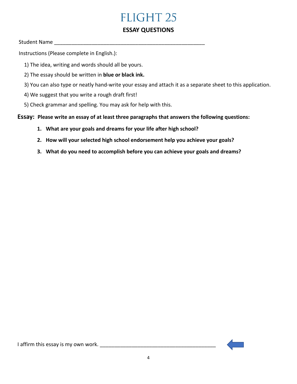### **FLIGHT 25**

### **ESSAY QUESTIONS**

### Student Name \_\_\_\_\_\_\_\_\_\_\_\_\_\_\_\_\_\_\_\_\_\_\_\_\_\_\_\_\_\_\_\_\_\_\_\_\_\_\_\_\_\_\_\_\_\_\_\_\_\_\_\_

Instructions (Please complete in English.):

- 1) The idea, writing and words should all be yours.
- 2) The essay should be written in **blue or black ink.**
- 3) You can also type or neatly hand-write your essay and attach it as a separate sheet to this application.
- 4) We suggest that you write a rough draft first!
- 5) Check grammar and spelling. You may ask for help with this.

### **Essay: Please write an essay of at least three paragraphs that answers the following questions:**

- **1. What are your goals and dreams for your life after high school?**
- **2. How will your selected high school endorsement help you achieve your goals?**
- **3. What do you need to accomplish before you can achieve your goals and dreams?**